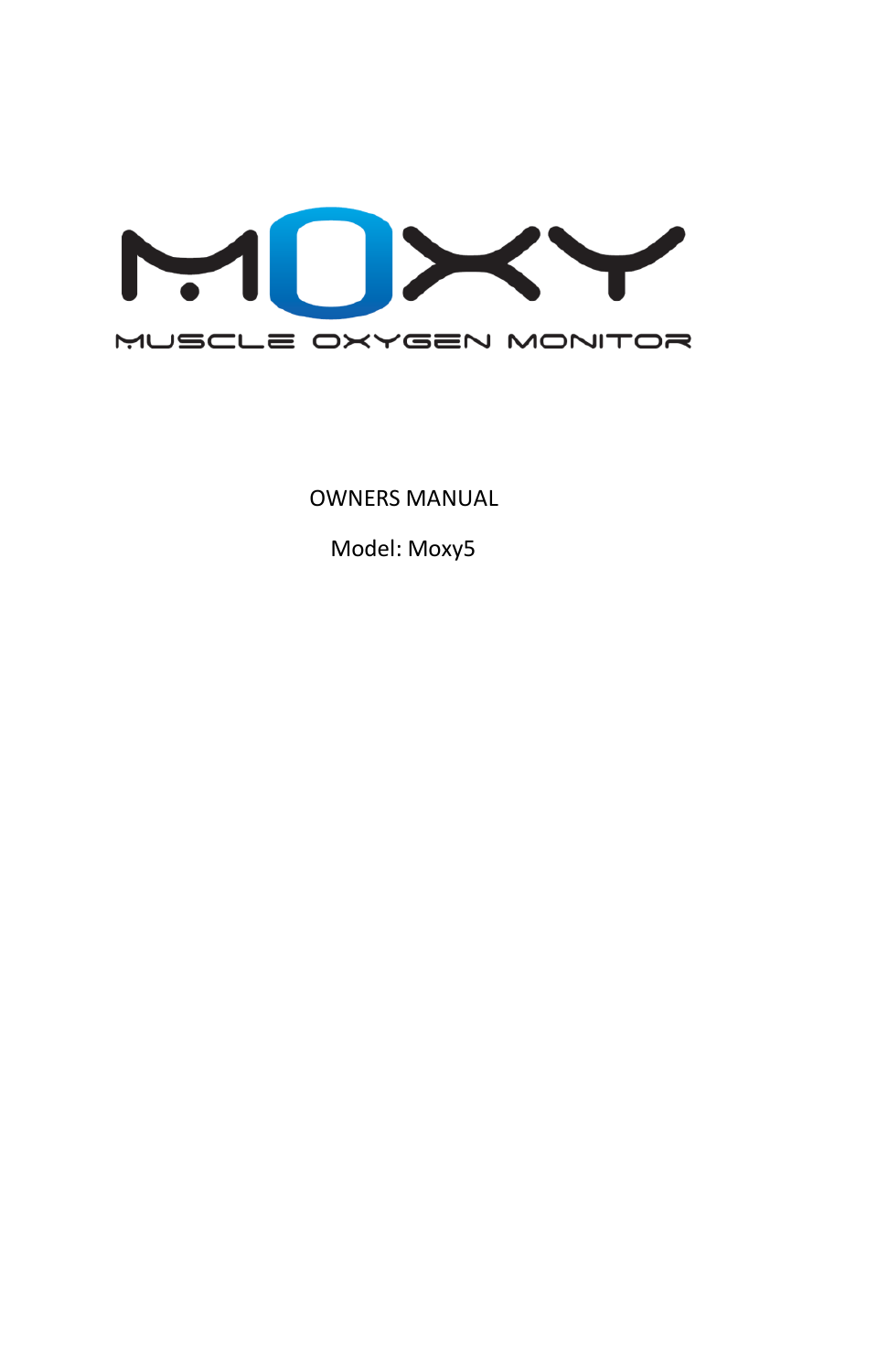

OWNERS MANUAL

Model: Moxy5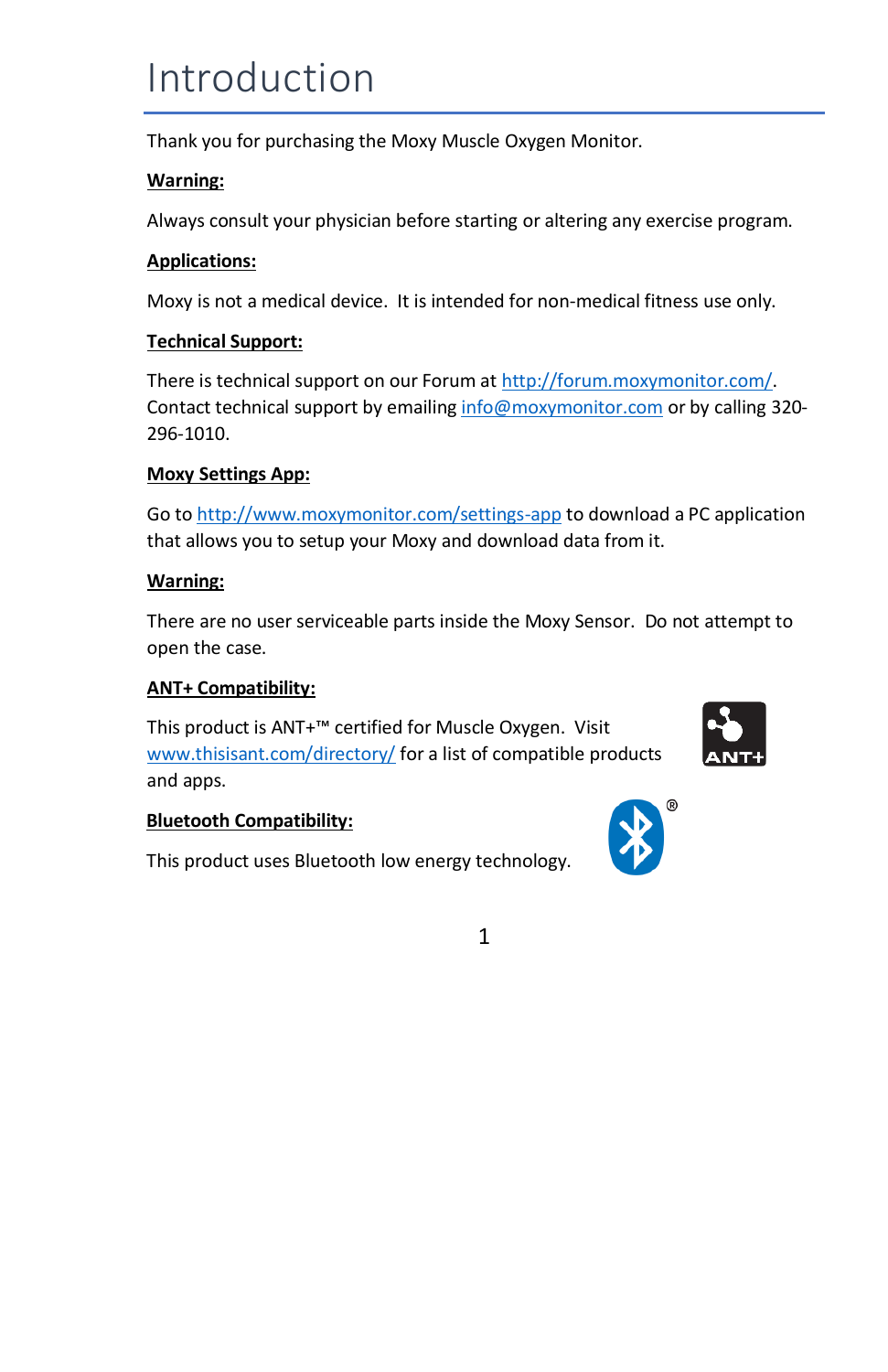### Introduction

Thank you for purchasing the Moxy Muscle Oxygen Monitor.

### **Warning:**

Always consult your physician before starting or altering any exercise program.

### **Applications:**

Moxy is not a medical device. It is intended for non-medical fitness use only.

### **Technical Support:**

There is technical support on our Forum a[t http://forum.moxymonitor.com/.](http://forum.moxymonitor.com/) Contact technical support by emailin[g info@moxymonitor.com](mailto:info@moxymonitor.com) or by calling 320-296-1010.

### **Moxy Settings App:**

Go to<http://www.moxymonitor.com/settings-app> to download a PC application that allows you to setup your Moxy and download data from it.

#### **Warning:**

There are no user serviceable parts inside the Moxy Sensor. Do not attempt to open the case.

### **ANT+ Compatibility:**

This product is ANT+™ certified for Muscle Oxygen. Visit [www.thisisant.com/directory/](file:///C:/Users/Rog/Documents/My%20Dropbox/Fortiori/Moxy3%20Design%20Information/Manual/www.thisisant.com/directory/) for a list of compatible products and apps.



### **Bluetooth Compatibility:**

This product uses Bluetooth low energy technology.

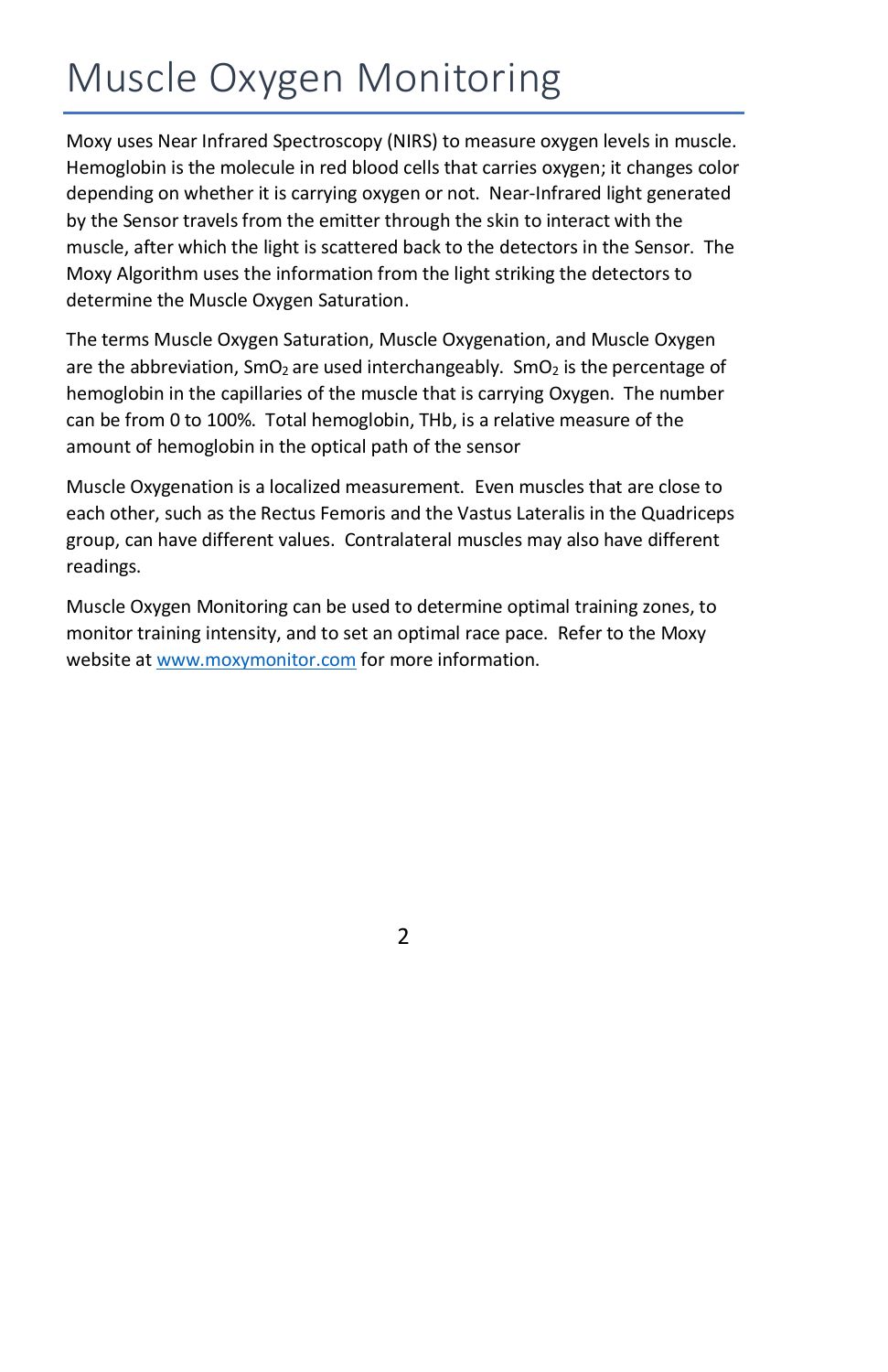## Muscle Oxygen Monitoring

Moxy uses Near Infrared Spectroscopy (NIRS) to measure oxygen levels in muscle. Hemoglobin is the molecule in red blood cells that carries oxygen; it changes color depending on whether it is carrying oxygen or not. Near-Infrared light generated by the Sensor travels from the emitter through the skin to interact with the muscle, after which the light is scattered back to the detectors in the Sensor. The Moxy Algorithm uses the information from the light striking the detectors to determine the Muscle Oxygen Saturation.

The terms Muscle Oxygen Saturation, Muscle Oxygenation, and Muscle Oxygen are the abbreviation,  $\text{SmO}_2$  are used interchangeably.  $\text{SmO}_2$  is the percentage of hemoglobin in the capillaries of the muscle that is carrying Oxygen. The number can be from 0 to 100%. Total hemoglobin, THb, is a relative measure of the amount of hemoglobin in the optical path of the sensor

Muscle Oxygenation is a localized measurement. Even muscles that are close to each other, such as the Rectus Femoris and the Vastus Lateralis in the Quadriceps group, can have different values. Contralateral muscles may also have different readings.

Muscle Oxygen Monitoring can be used to determine optimal training zones, to monitor training intensity, and to set an optimal race pace. Refer to the Moxy website a[t www.moxymonitor.com](http://www.moxymonitor.com/) for more information.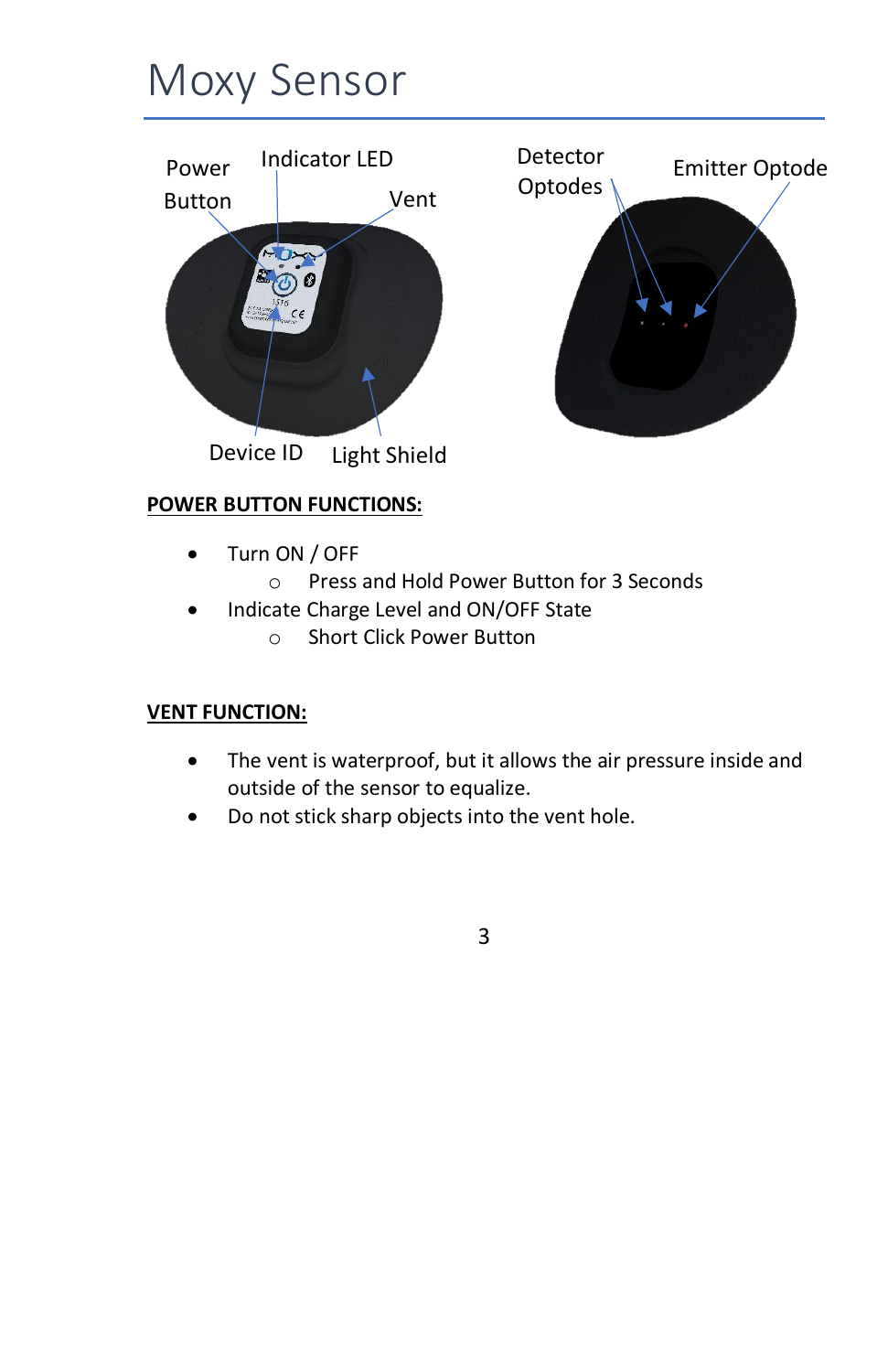## Moxy Sensor



### **POWER BUTTON FUNCTIONS:**

- Turn ON / OFF
	- o Press and Hold Power Button for 3 Seconds
- Indicate Charge Level and ON/OFF State
	- o Short Click Power Button

### **VENT FUNCTION:**

- The vent is waterproof, but it allows the air pressure inside and outside of the sensor to equalize.
- Do not stick sharp objects into the vent hole.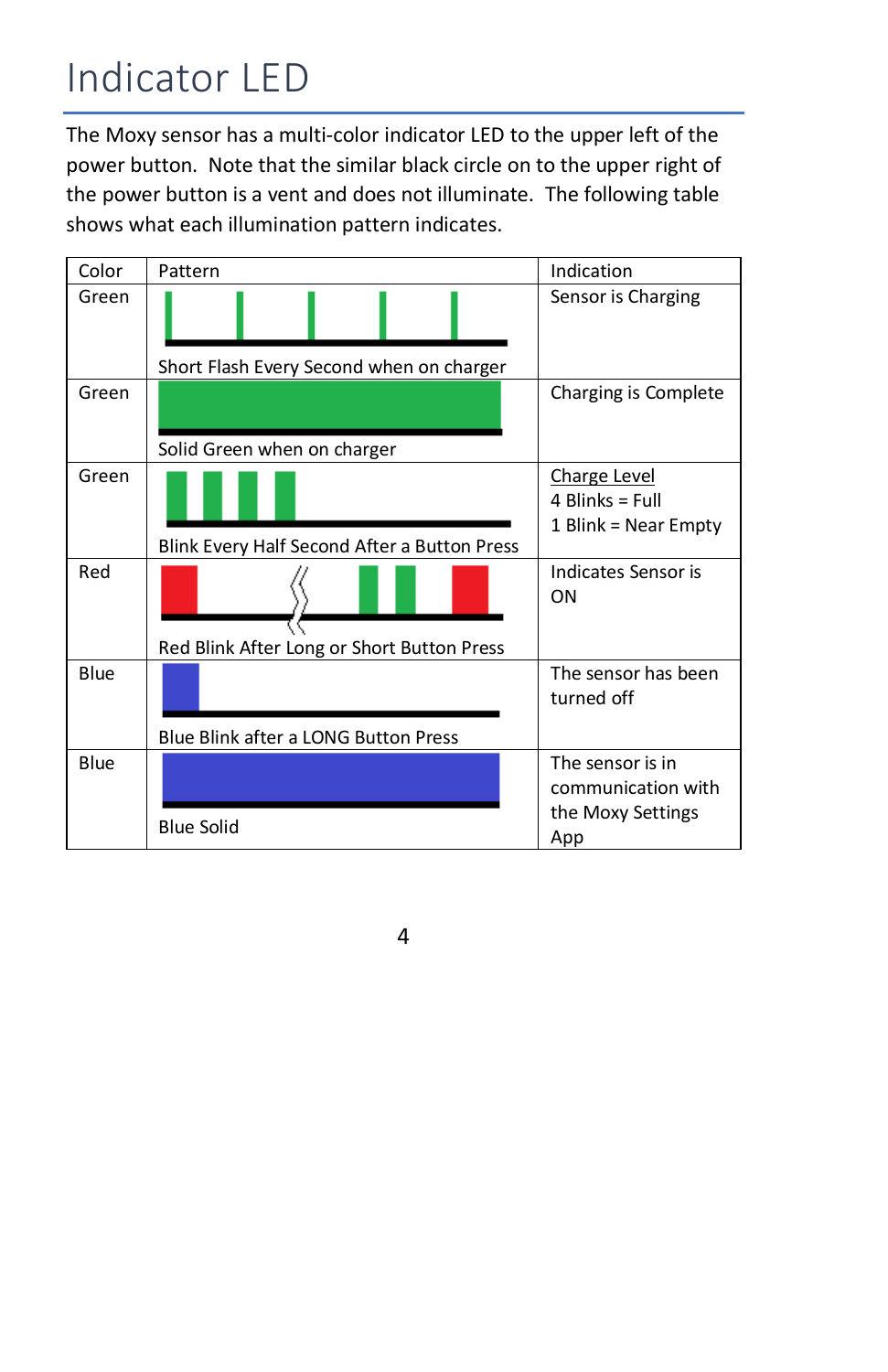## Indicator LED

The Moxy sensor has a multi-color indicator LED to the upper left of the power button. Note that the similar black circle on to the upper right of the power button is a vent and does not illuminate. The following table shows what each illumination pattern indicates.

| Color | Pattern                                      | Indication                                                         |
|-------|----------------------------------------------|--------------------------------------------------------------------|
| Green | Short Flash Every Second when on charger     | Sensor is Charging                                                 |
| Green | Solid Green when on charger                  | Charging is Complete                                               |
| Green | Blink Every Half Second After a Button Press | <b>Charge Level</b><br>4 Blinks = Full<br>1 Blink = Near Empty     |
| Red   | Red Blink After Long or Short Button Press   | Indicates Sensor is<br>ON                                          |
| Blue  | Blue Blink after a LONG Button Press         | The sensor has been<br>turned off                                  |
| Blue  | <b>Blue Solid</b>                            | The sensor is in<br>communication with<br>the Moxy Settings<br>App |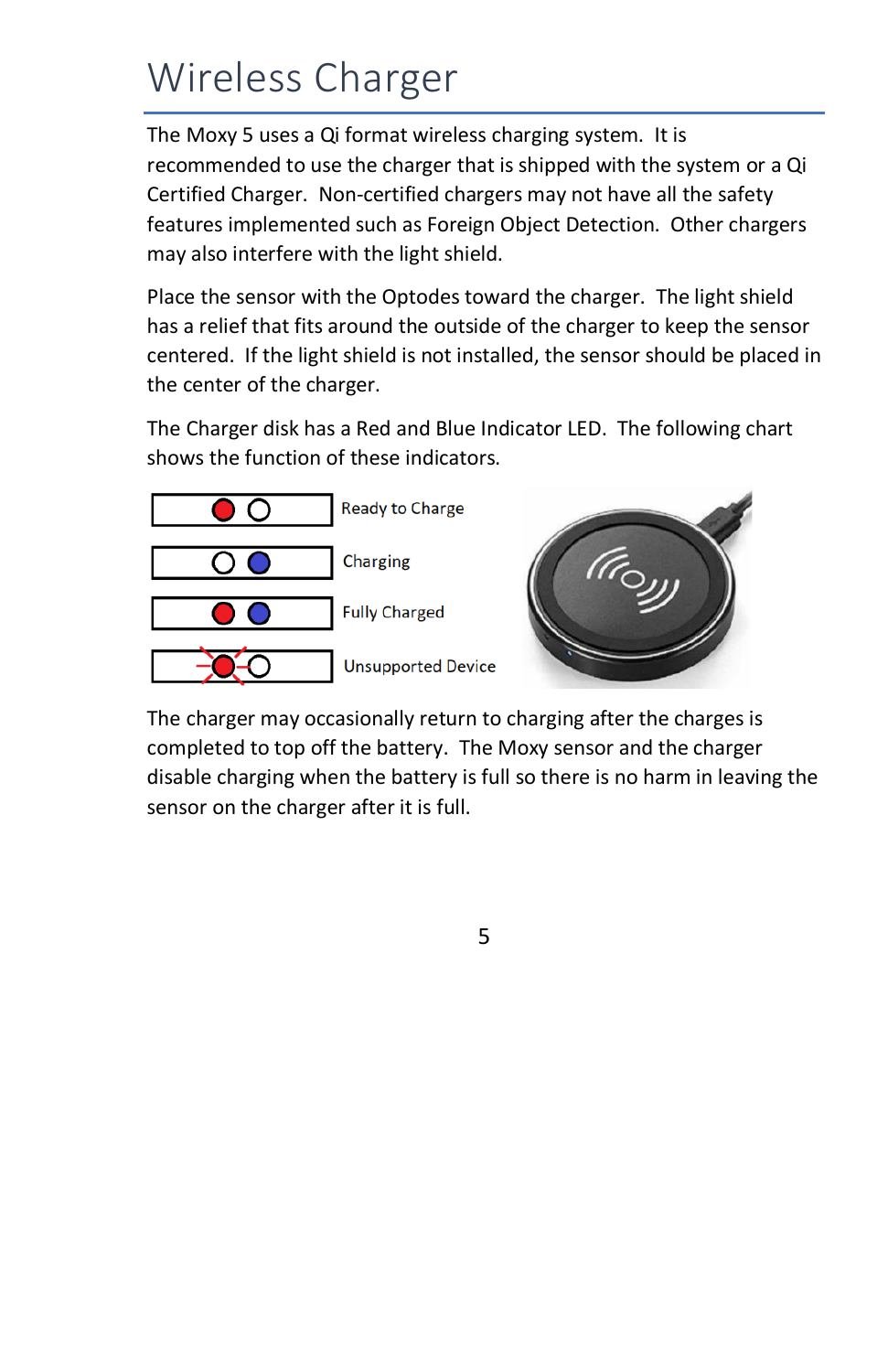## Wireless Charger

The Moxy 5 uses a Qi format wireless charging system. It is recommended to use the charger that is shipped with the system or a Qi Certified Charger. Non-certified chargers may not have all the safety features implemented such as Foreign Object Detection. Other chargers may also interfere with the light shield.

Place the sensor with the Optodes toward the charger. The light shield has a relief that fits around the outside of the charger to keep the sensor centered. If the light shield is not installed, the sensor should be placed in the center of the charger.

The Charger disk has a Red and Blue Indicator LED. The following chart shows the function of these indicators.



The charger may occasionally return to charging after the charges is completed to top off the battery. The Moxy sensor and the charger disable charging when the battery is full so there is no harm in leaving the sensor on the charger after it is full.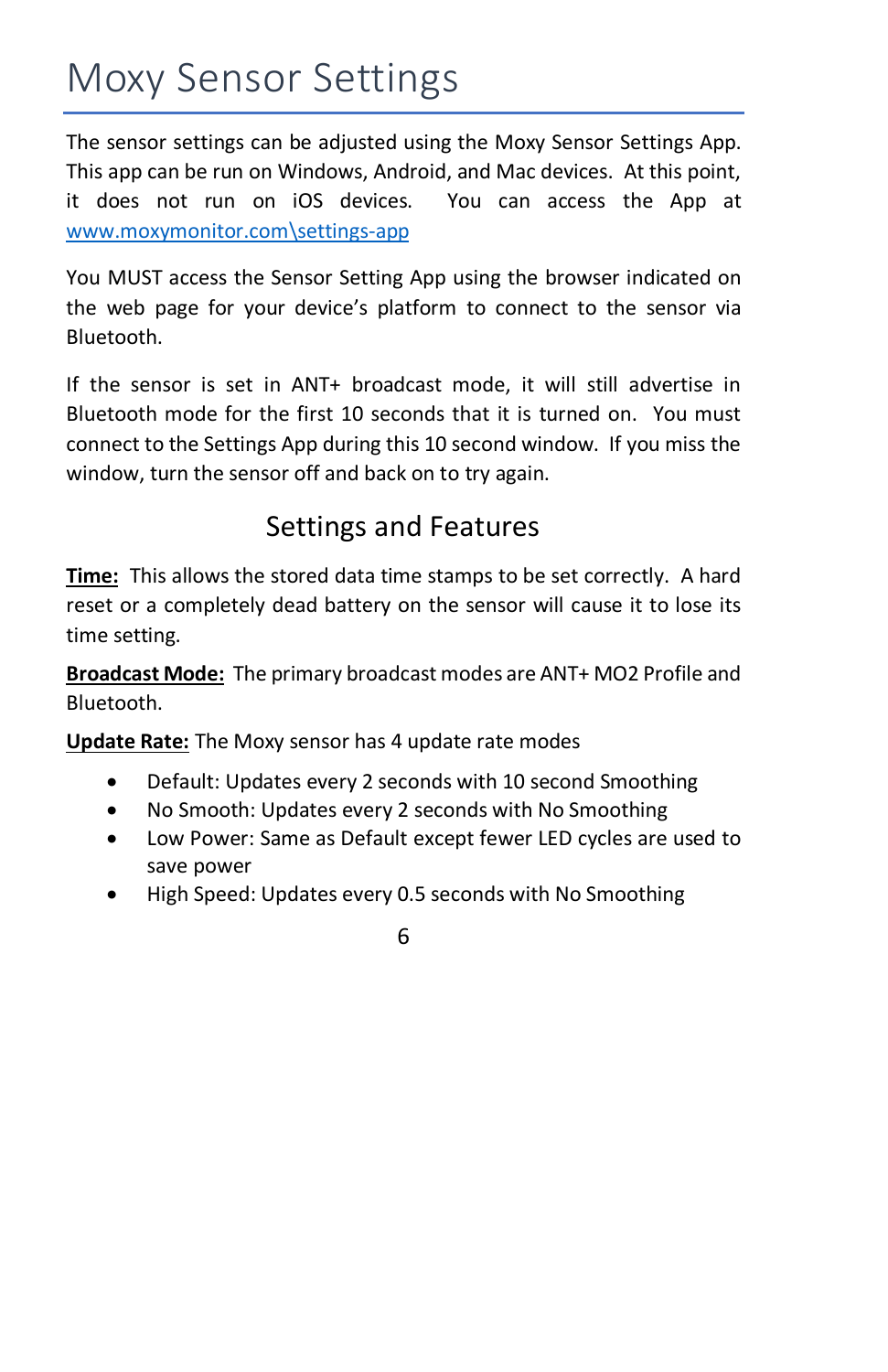## Moxy Sensor Settings

The sensor settings can be adjusted using the Moxy Sensor Settings App. This app can be run on Windows, Android, and Mac devices. At this point, it does not run on iOS devices. You can access the App at [www.moxymonitor.com\settings-app](http://www.moxymonitor.com/settings-app)

You MUST access the Sensor Setting App using the browser indicated on the web page for your device's platform to connect to the sensor via Bluetooth.

If the sensor is set in ANT+ broadcast mode, it will still advertise in Bluetooth mode for the first 10 seconds that it is turned on. You must connect to the Settings App during this 10 second window. If you miss the window, turn the sensor off and back on to try again.

### Settings and Features

**Time:** This allows the stored data time stamps to be set correctly. A hard reset or a completely dead battery on the sensor will cause it to lose its time setting.

**Broadcast Mode:** The primary broadcast modes are ANT+ MO2 Profile and Bluetooth.

**Update Rate:** The Moxy sensor has 4 update rate modes

- Default: Updates every 2 seconds with 10 second Smoothing
- No Smooth: Updates every 2 seconds with No Smoothing
- Low Power: Same as Default except fewer LED cycles are used to save power
- High Speed: Updates every 0.5 seconds with No Smoothing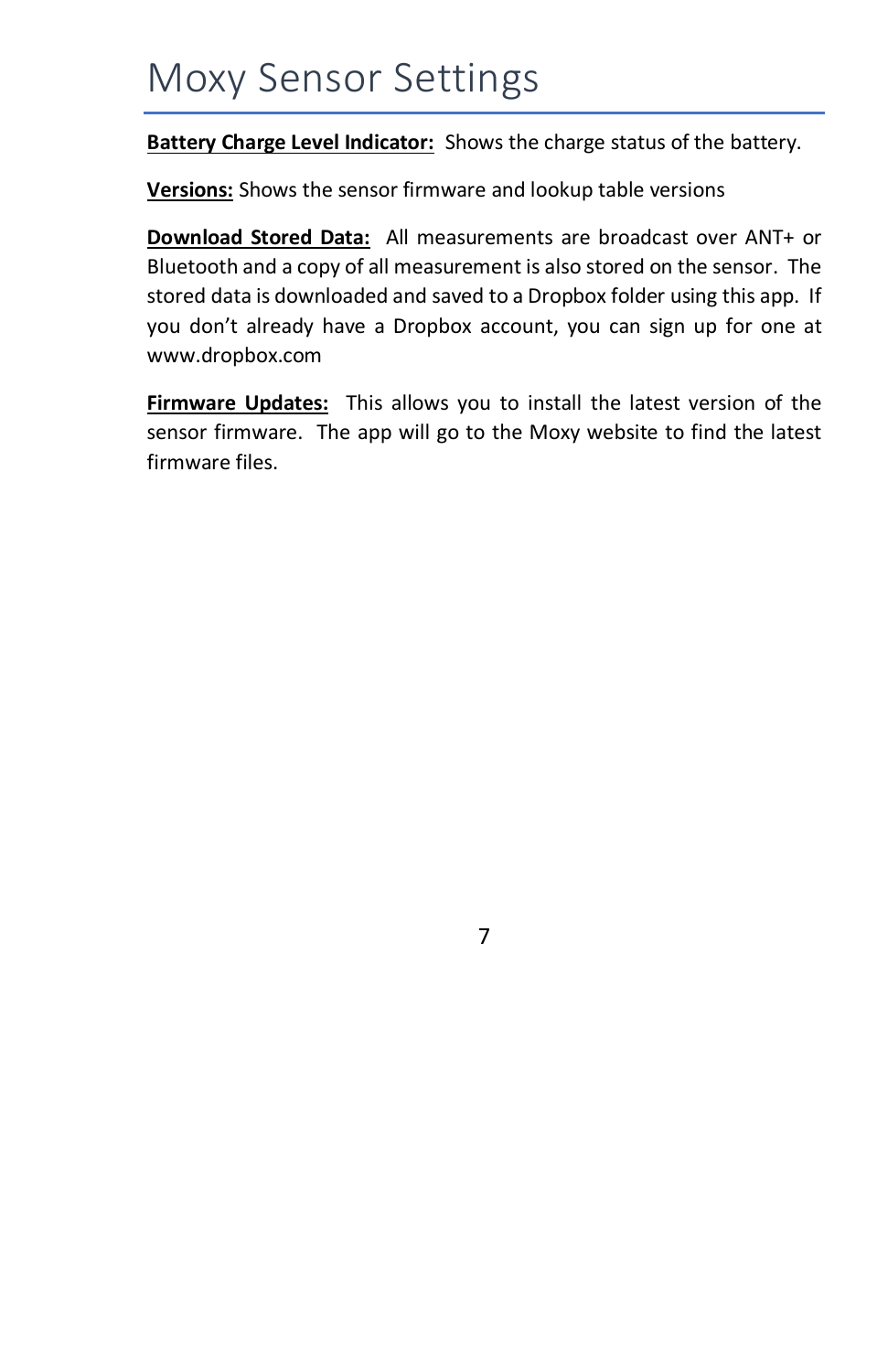### Moxy Sensor Settings

**Battery Charge Level Indicator:** Shows the charge status of the battery.

**Versions:** Shows the sensor firmware and lookup table versions

**Download Stored Data:** All measurements are broadcast over ANT+ or Bluetooth and a copy of all measurement is also stored on the sensor. The stored data is downloaded and saved to a Dropbox folder using this app. If you don't already have a Dropbox account, you can sign up for one at www.dropbox.com

**Firmware Updates:** This allows you to install the latest version of the sensor firmware. The app will go to the Moxy website to find the latest firmware files.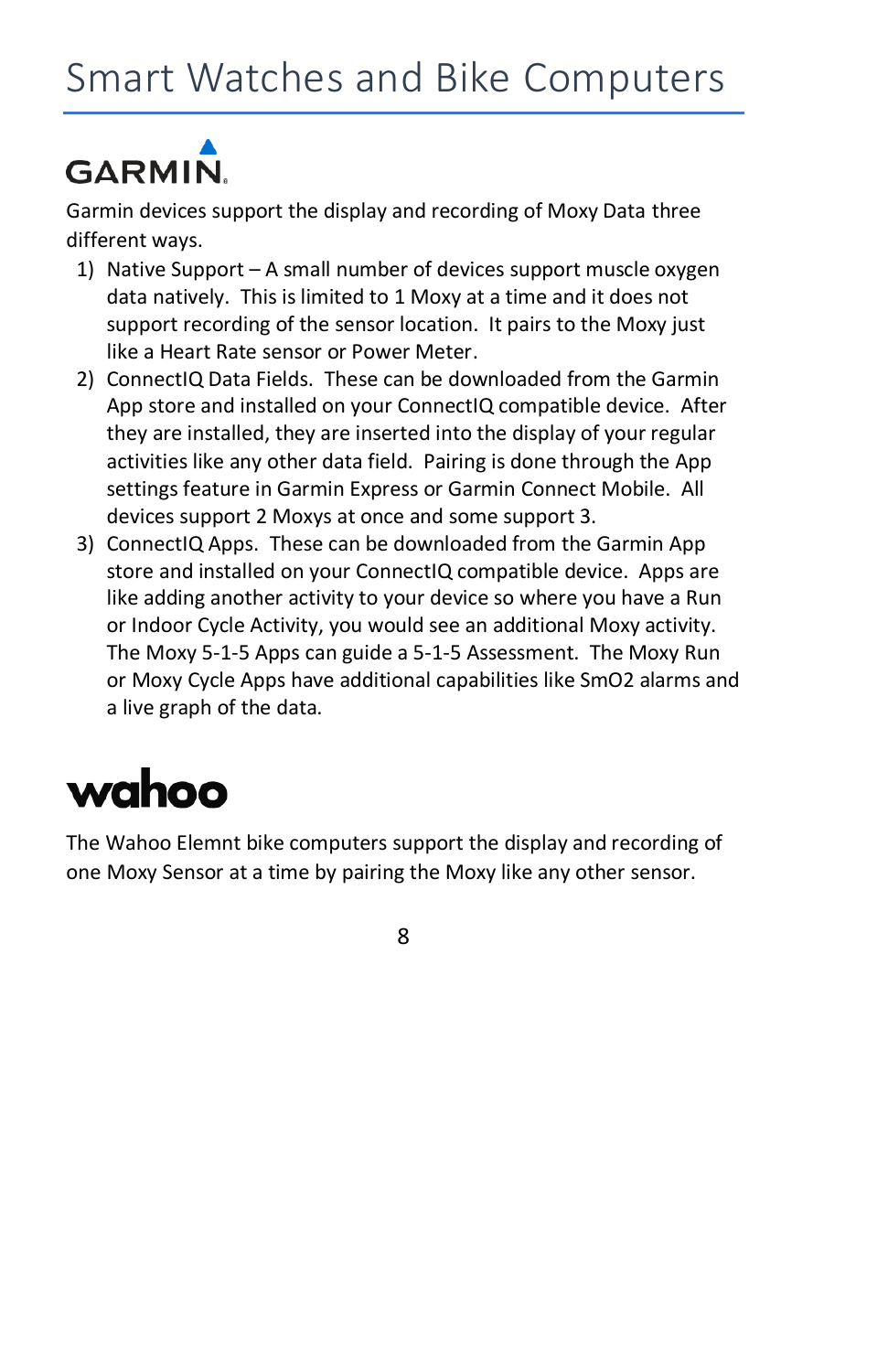# **GARMIN.**

Garmin devices support the display and recording of Moxy Data three different ways.

- 1) Native Support A small number of devices support muscle oxygen data natively. This is limited to 1 Moxy at a time and it does not support recording of the sensor location. It pairs to the Moxy just like a Heart Rate sensor or Power Meter.
- 2) ConnectIQ Data Fields. These can be downloaded from the Garmin App store and installed on your ConnectIQ compatible device. After they are installed, they are inserted into the display of your regular activities like any other data field. Pairing is done through the App settings feature in Garmin Express or Garmin Connect Mobile. All devices support 2 Moxys at once and some support 3.
- 3) ConnectIQ Apps. These can be downloaded from the Garmin App store and installed on your ConnectIQ compatible device. Apps are like adding another activity to your device so where you have a Run or Indoor Cycle Activity, you would see an additional Moxy activity. The Moxy 5-1-5 Apps can guide a 5-1-5 Assessment. The Moxy Run or Moxy Cycle Apps have additional capabilities like SmO2 alarms and a live graph of the data.

## wahoo

The Wahoo Elemnt bike computers support the display and recording of one Moxy Sensor at a time by pairing the Moxy like any other sensor.

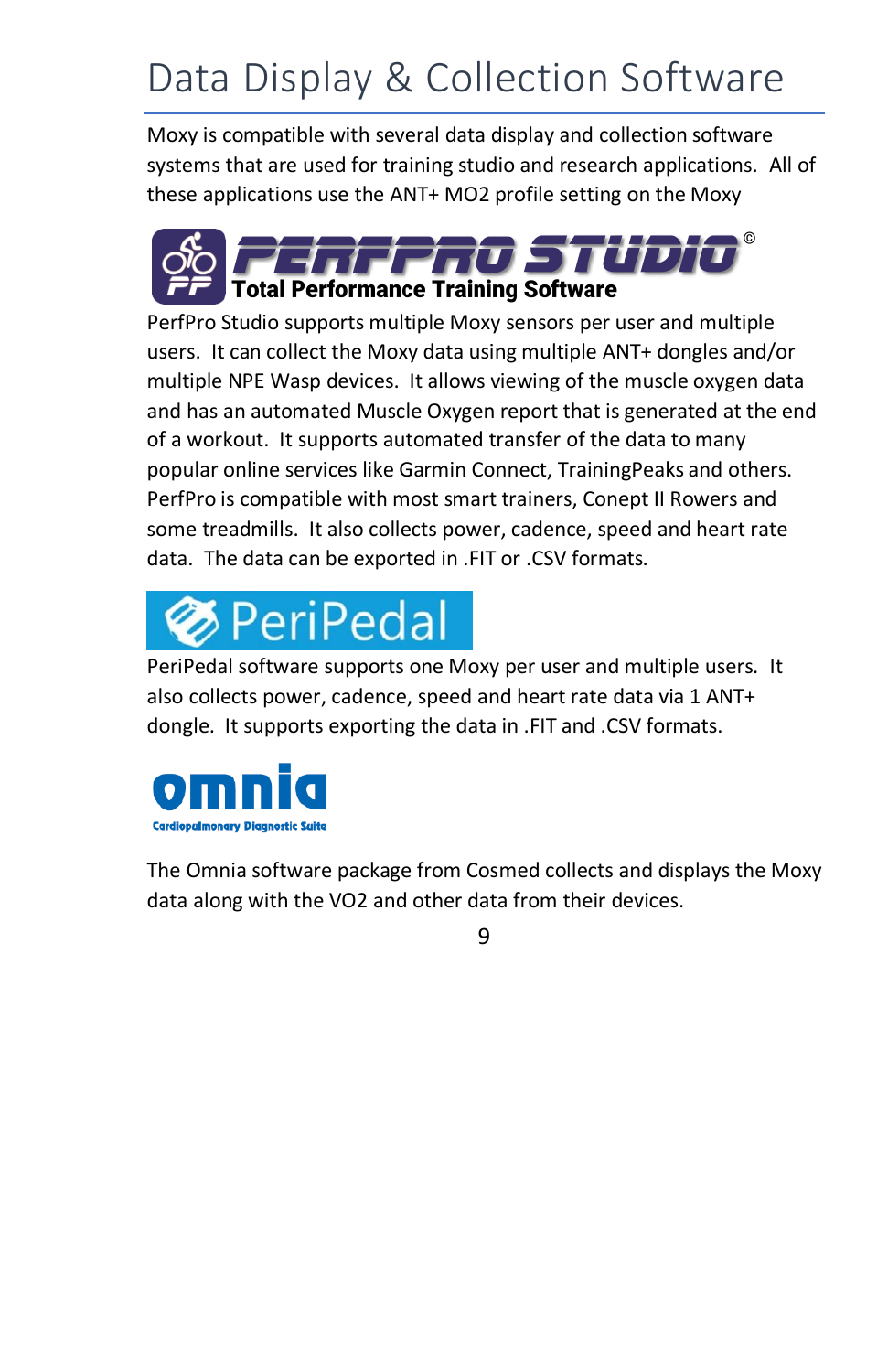## Data Display & Collection Software

Moxy is compatible with several data display and collection software systems that are used for training studio and research applications. All of these applications use the ANT+ MO2 profile setting on the Moxy



PerfPro Studio supports multiple Moxy sensors per user and multiple users. It can collect the Moxy data using multiple ANT+ dongles and/or multiple NPE Wasp devices. It allows viewing of the muscle oxygen data and has an automated Muscle Oxygen report that is generated at the end of a workout. It supports automated transfer of the data to many popular online services like Garmin Connect, TrainingPeaks and others. PerfPro is compatible with most smart trainers, Conept II Rowers and some treadmills. It also collects power, cadence, speed and heart rate data. The data can be exported in .FIT or .CSV formats.

# PeriPedal

PeriPedal software supports one Moxy per user and multiple users. It also collects power, cadence, speed and heart rate data via 1 ANT+ dongle. It supports exporting the data in .FIT and .CSV formats.



The Omnia software package from Cosmed collects and displays the Moxy data along with the VO2 and other data from their devices.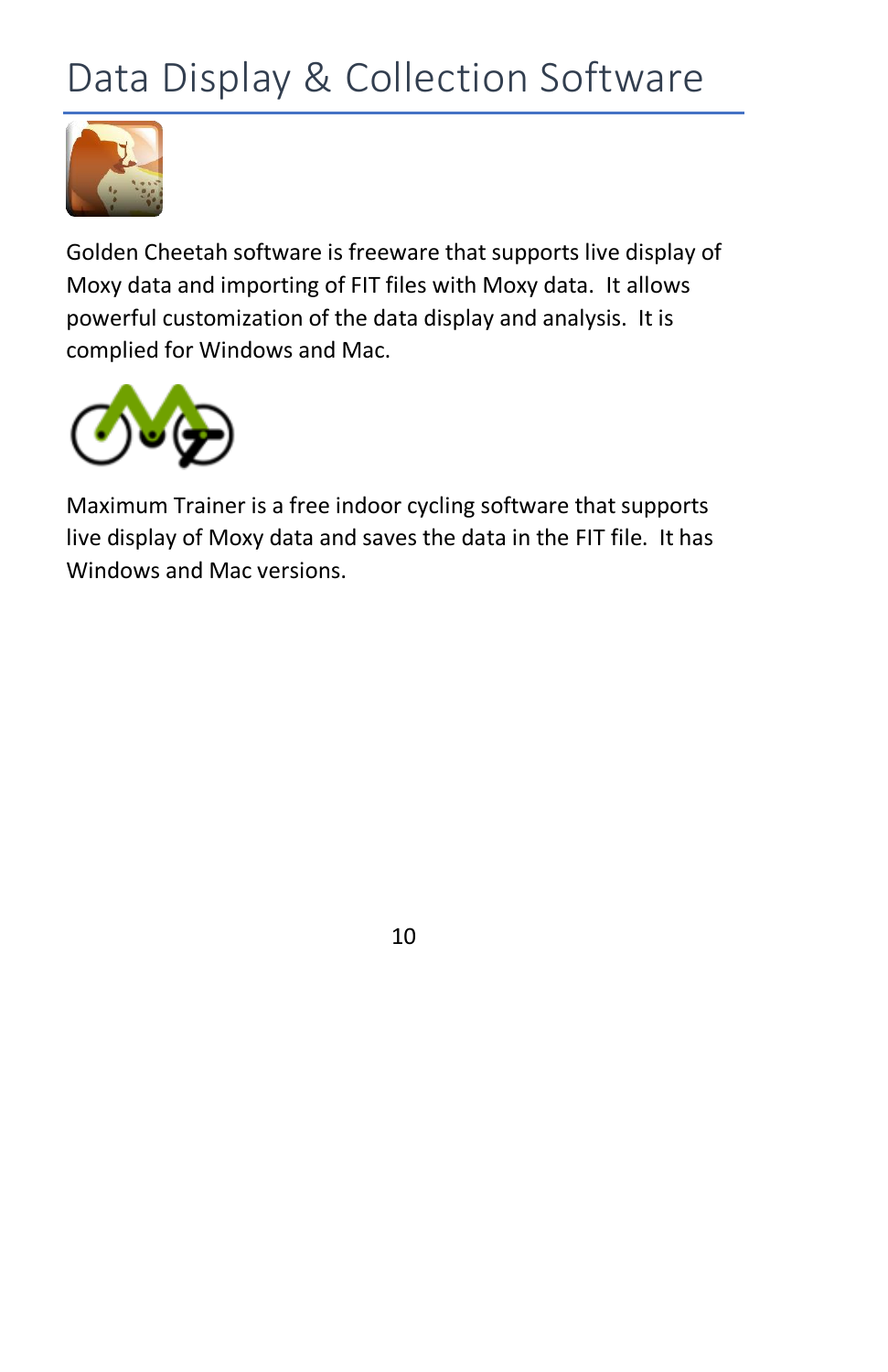## Data Display & Collection Software



Golden Cheetah software is freeware that supports live display of Moxy data and importing of FIT files with Moxy data. It allows powerful customization of the data display and analysis. It is complied for Windows and Mac.



Maximum Trainer is a free indoor cycling software that supports live display of Moxy data and saves the data in the FIT file. It has Windows and Mac versions.

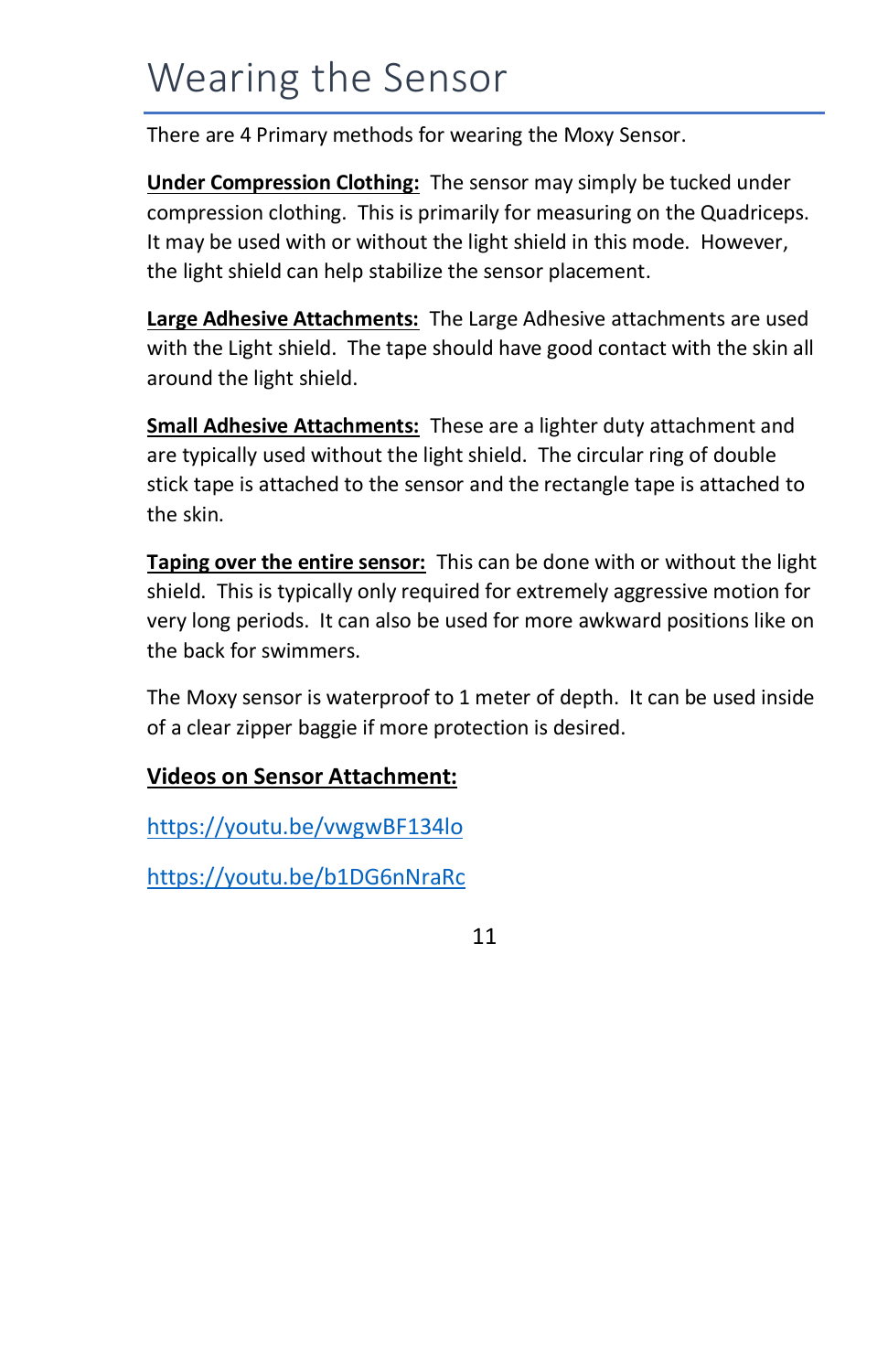### Wearing the Sensor

There are 4 Primary methods for wearing the Moxy Sensor.

**Under Compression Clothing:** The sensor may simply be tucked under compression clothing. This is primarily for measuring on the Quadriceps. It may be used with or without the light shield in this mode. However, the light shield can help stabilize the sensor placement.

**Large Adhesive Attachments:** The Large Adhesive attachments are used with the Light shield. The tape should have good contact with the skin all around the light shield.

**Small Adhesive Attachments:** These are a lighter duty attachment and are typically used without the light shield. The circular ring of double stick tape is attached to the sensor and the rectangle tape is attached to the skin.

**Taping over the entire sensor:** This can be done with or without the light shield. This is typically only required for extremely aggressive motion for very long periods. It can also be used for more awkward positions like on the back for swimmers.

The Moxy sensor is waterproof to 1 meter of depth. It can be used inside of a clear zipper baggie if more protection is desired.

### **Videos on Sensor Attachment:**

<https://youtu.be/vwgwBF134lo>

<https://youtu.be/b1DG6nNraRc>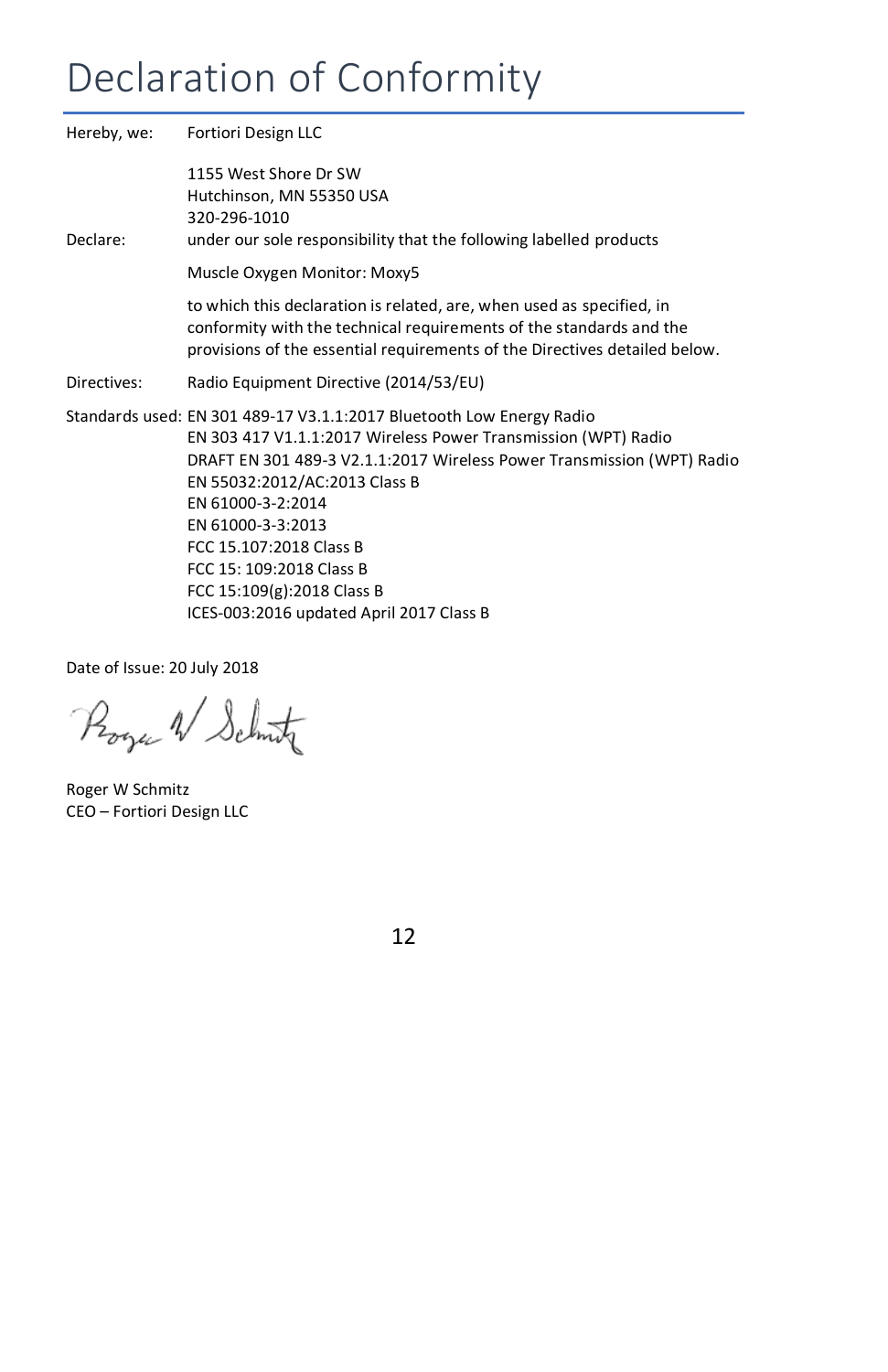## Declaration of Conformity

|             | Hereby, we: Fortiori Design LLC                                                                                                                                                                                                                                                                                                                                                  |  |
|-------------|----------------------------------------------------------------------------------------------------------------------------------------------------------------------------------------------------------------------------------------------------------------------------------------------------------------------------------------------------------------------------------|--|
| Declare:    | 1155 West Shore Dr SW<br>Hutchinson, MN 55350 USA<br>320-296-1010<br>under our sole responsibility that the following labelled products                                                                                                                                                                                                                                          |  |
|             | Muscle Oxygen Monitor: Moxy5                                                                                                                                                                                                                                                                                                                                                     |  |
|             | to which this declaration is related, are, when used as specified, in<br>conformity with the technical requirements of the standards and the<br>provisions of the essential requirements of the Directives detailed below.                                                                                                                                                       |  |
| Directives: | Radio Equipment Directive (2014/53/EU)                                                                                                                                                                                                                                                                                                                                           |  |
|             | Standards used: EN 301 489-17 V3.1.1:2017 Bluetooth Low Energy Radio<br>EN 303 417 V1.1.1:2017 Wireless Power Transmission (WPT) Radio<br>DRAFT EN 301 489-3 V2.1.1:2017 Wireless Power Transmission (WPT) Radio<br>EN 55032:2012/AC:2013 Class B<br>EN 61000-3-2:2014<br>EN 61000-3-3:2013<br>FCC 15.107:2018 Class B<br>FCC 15: 109:2018 Class B<br>FCC 15:109(g):2018 Class B |  |
|             | ICES-003:2016 updated April 2017 Class B                                                                                                                                                                                                                                                                                                                                         |  |

Date of Issue: 20 July 2018

Roger W Schutz

Roger W Schmitz CEO – Fortiori Design LLC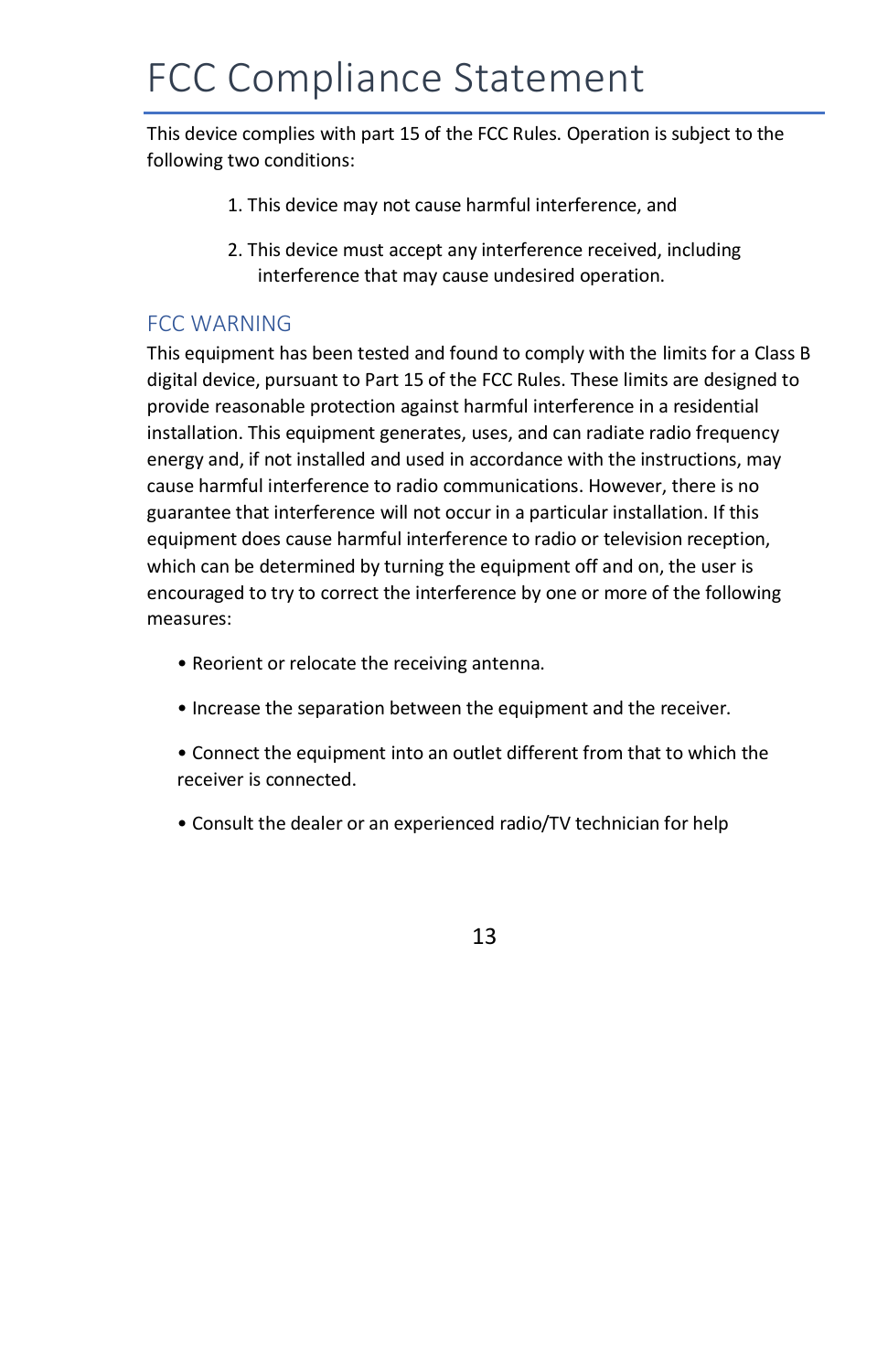### FCC Compliance Statement

This device complies with part 15 of the FCC Rules. Operation is subject to the following two conditions:

- 1. This device may not cause harmful interference, and
- 2. This device must accept any interference received, including interference that may cause undesired operation.

### FCC WARNING

This equipment has been tested and found to comply with the limits for a Class B digital device, pursuant to Part 15 of the FCC Rules. These limits are designed to provide reasonable protection against harmful interference in a residential installation. This equipment generates, uses, and can radiate radio frequency energy and, if not installed and used in accordance with the instructions, may cause harmful interference to radio communications. However, there is no guarantee that interference will not occur in a particular installation. If this equipment does cause harmful interference to radio or television reception, which can be determined by turning the equipment off and on, the user is encouraged to try to correct the interference by one or more of the following measures:

- Reorient or relocate the receiving antenna.
- Increase the separation between the equipment and the receiver.
- Connect the equipment into an outlet different from that to which the receiver is connected.
- Consult the dealer or an experienced radio/TV technician for help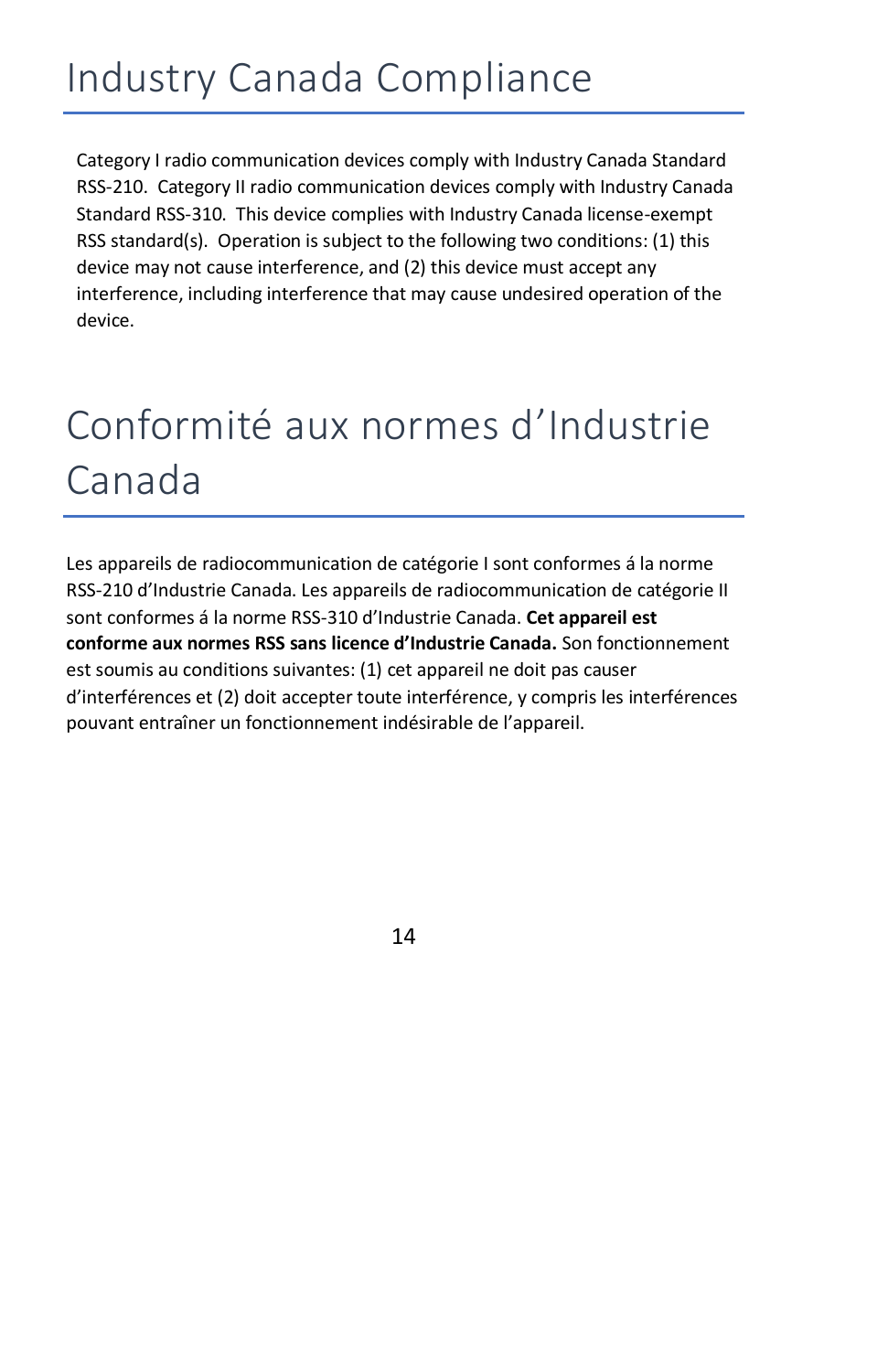## Industry Canada Compliance

Category I radio communication devices comply with Industry Canada Standard RSS-210. Category II radio communication devices comply with Industry Canada Standard RSS-310. This device complies with Industry Canada license-exempt RSS standard(s). Operation is subject to the following two conditions: (1) this device may not cause interference, and (2) this device must accept any interference, including interference that may cause undesired operation of the device.

## Conformité aux normes d'Industrie Canada

Les appareils de radiocommunication de catégorie I sont conformes á la norme RSS-210 d'Industrie Canada. Les appareils de radiocommunication de catégorie II sont conformes á la norme RSS-310 d'Industrie Canada. **Cet appareil est conforme aux normes RSS sans licence d'Industrie Canada.** Son fonctionnement est soumis au conditions suivantes: (1) cet appareil ne doit pas causer d'interférences et (2) doit accepter toute interférence, y compris les interférences pouvant entraîner un fonctionnement indésirable de l'appareil.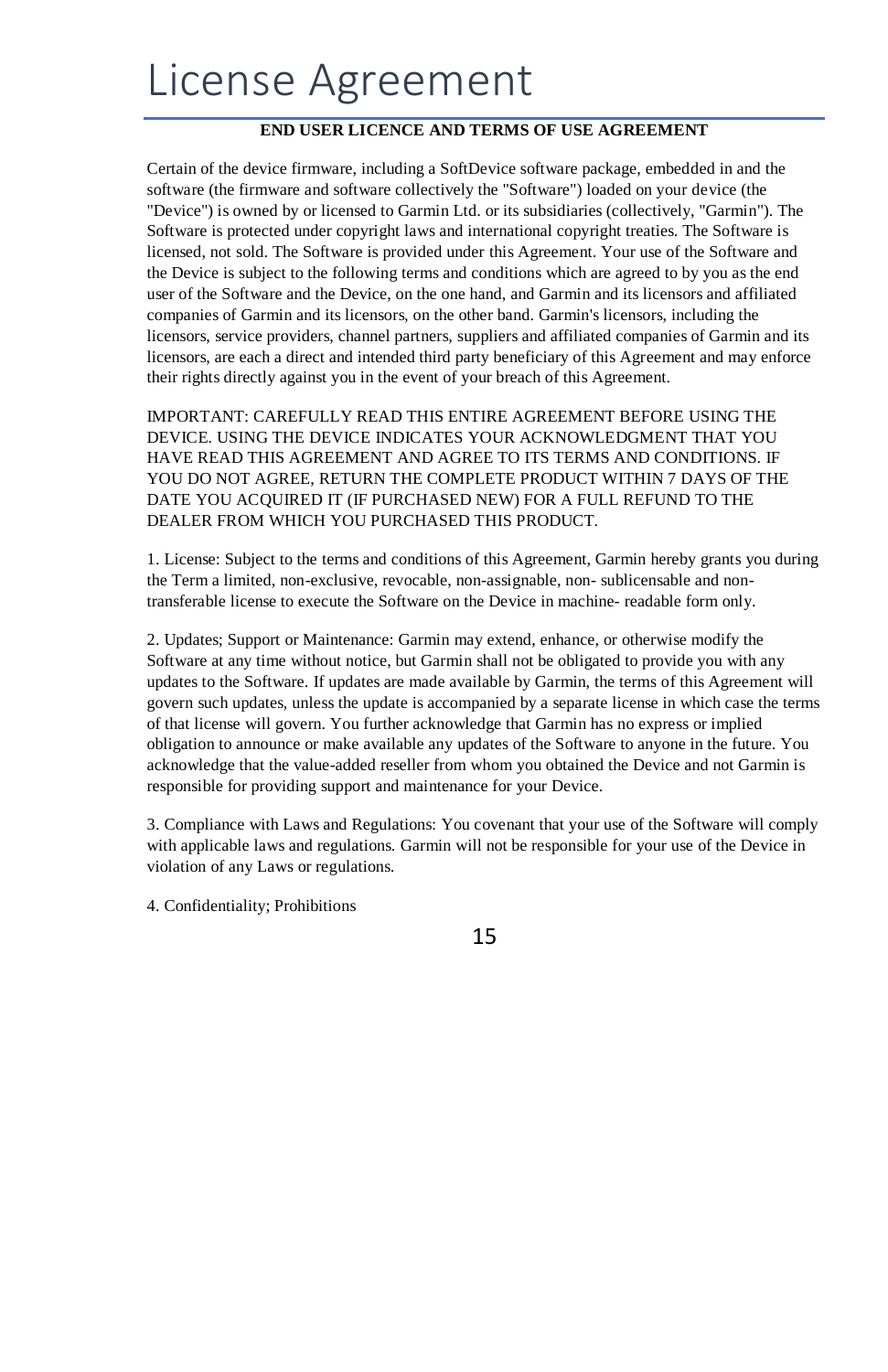## License Agreement

#### **END USER LICENCE AND TERMS OF USE AGREEMENT**

Certain of the device firmware, including a SoftDevice software package, embedded in and the software (the firmware and software collectively the "Software") loaded on your device (the "Device") is owned by or licensed to Garmin Ltd. or its subsidiaries (collectively, "Garmin"). The Software is protected under copyright laws and international copyright treaties. The Software is licensed, not sold. The Software is provided under this Agreement. Your use of the Software and the Device is subject to the following terms and conditions which are agreed to by you as the end user of the Software and the Device, on the one hand, and Garmin and its licensors and affiliated companies of Garmin and its licensors, on the other band. Garmin's licensors, including the licensors, service providers, channel partners, suppliers and affiliated companies of Garmin and its licensors, are each a direct and intended third party beneficiary of this Agreement and may enforce their rights directly against you in the event of your breach of this Agreement.

IMPORTANT: CAREFULLY READ THIS ENTIRE AGREEMENT BEFORE USING THE DEVICE. USING THE DEVICE INDICATES YOUR ACKNOWLEDGMENT THAT YOU HAVE READ THIS AGREEMENT AND AGREE TO ITS TERMS AND CONDITIONS. IF YOU DO NOT AGREE, RETURN THE COMPLETE PRODUCT WITHIN 7 DAYS OF THE DATE YOU ACQUIRED IT (IF PURCHASED NEW) FOR A FULL REFUND TO THE DEALER FROM WHICH YOU PURCHASED THIS PRODUCT.

1. License: Subject to the terms and conditions of this Agreement, Garmin hereby grants you during the Term a limited, non-exclusive, revocable, non-assignable, non- sublicensable and nontransferable license to execute the Software on the Device in machine- readable form only.

2. Updates; Support or Maintenance: Garmin may extend, enhance, or otherwise modify the Software at any time without notice, but Garmin shall not be obligated to provide you with any updates to the Software. If updates are made available by Garmin, the terms of this Agreement will govern such updates, unless the update is accompanied by a separate license in which case the terms of that license will govern. You further acknowledge that Garmin has no express or implied obligation to announce or make available any updates of the Software to anyone in the future. You acknowledge that the value-added reseller from whom you obtained the Device and not Garmin is responsible for providing support and maintenance for your Device.

3. Compliance with Laws and Regulations: You covenant that your use of the Software will comply with applicable laws and regulations. Garmin will not be responsible for your use of the Device in violation of any Laws or regulations.

4. Confidentiality; Prohibitions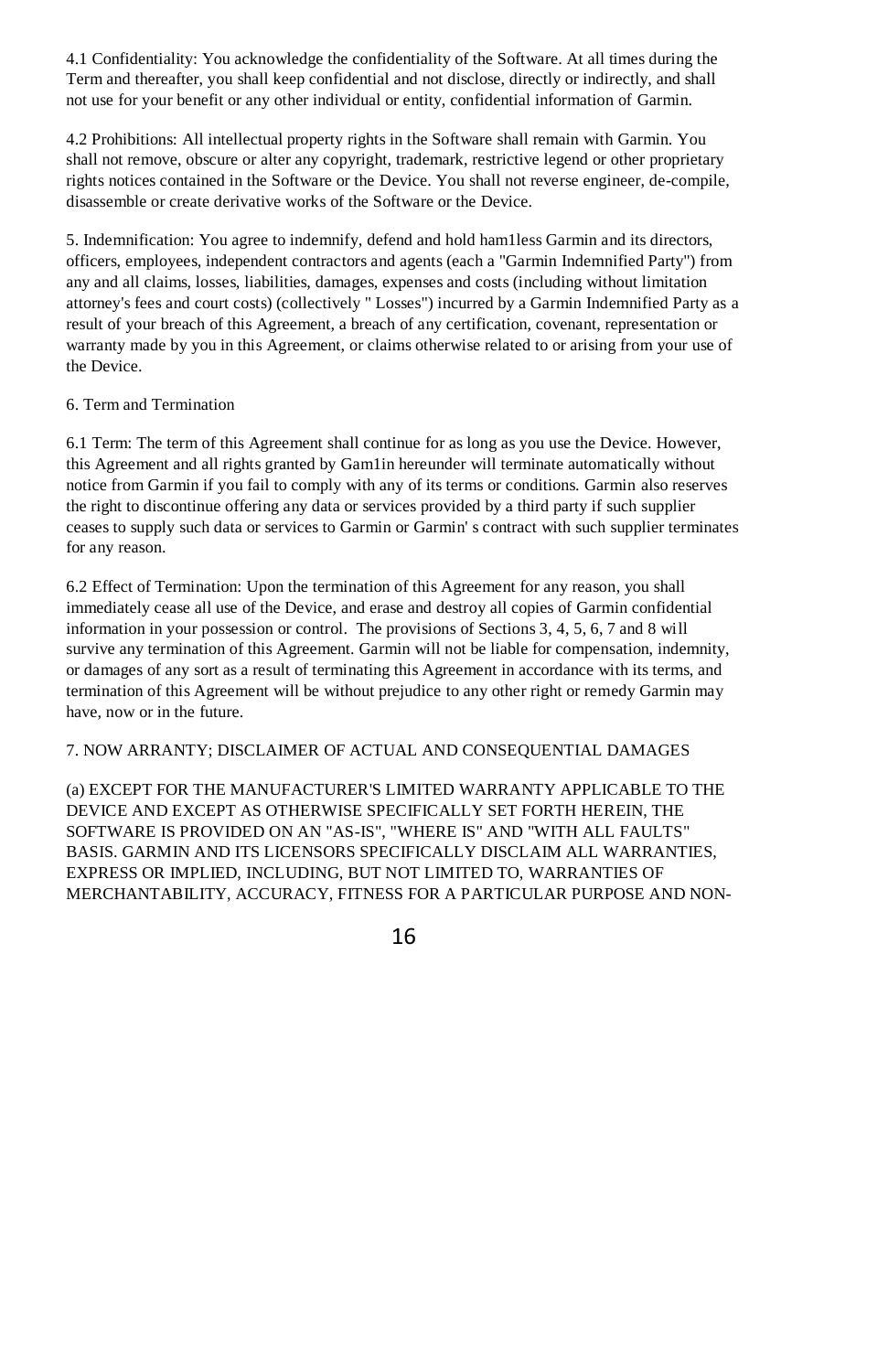4.1 Confidentiality: You acknowledge the confidentiality of the Software. At all times during the Term and thereafter, you shall keep confidential and not disclose, directly or indirectly, and shall not use for your benefit or any other individual or entity, confidential information of Garmin.

4.2 Prohibitions: All intellectual property rights in the Software shall remain with Garmin. You shall not remove, obscure or alter any copyright, trademark, restrictive legend or other proprietary rights notices contained in the Software or the Device. You shall not reverse engineer, de-compile, disassemble or create derivative works of the Software or the Device.

5. Indemnification: You agree to indemnify, defend and hold ham1less Garmin and its directors, officers, employees, independent contractors and agents (each a "Garmin Indemnified Party") from any and all claims, losses, liabilities, damages, expenses and costs (including without limitation attorney's fees and court costs) (collectively " Losses") incurred by a Garmin Indemnified Party as a result of your breach of this Agreement, a breach of any certification, covenant, representation or warranty made by you in this Agreement, or claims otherwise related to or arising from your use of the Device.

#### 6. Term and Termination

6.1 Term: The term of this Agreement shall continue for as long as you use the Device. However, this Agreement and all rights granted by Gam1in hereunder will terminate automatically without notice from Garmin if you fail to comply with any of its terms or conditions. Garmin also reserves the right to discontinue offering any data or services provided by a third party if such supplier ceases to supply such data or services to Garmin or Garmin' s contract with such supplier terminates for any reason.

6.2 Effect of Termination: Upon the termination of this Agreement for any reason, you shall immediately cease all use of the Device, and erase and destroy all copies of Garmin confidential information in your possession or control. The provisions of Sections 3, 4, 5, 6, 7 and 8 will survive any termination of this Agreement. Garmin will not be liable for compensation, indemnity, or damages of any sort as a result of terminating this Agreement in accordance with its terms, and termination of this Agreement will be without prejudice to any other right or remedy Garmin may have, now or in the future.

#### 7. NOW ARRANTY; DISCLAIMER OF ACTUAL AND CONSEQUENTIAL DAMAGES

(a) EXCEPT FOR THE MANUFACTURER'S LIMITED WARRANTY APPLICABLE TO THE DEVICE AND EXCEPT AS OTHERWISE SPECIFICALLY SET FORTH HEREIN, THE SOFTWARE IS PROVIDED ON AN "AS-IS", "WHERE IS" AND "WITH ALL FAULTS" BASIS. GARMIN AND ITS LICENSORS SPECIFICALLY DISCLAIM ALL WARRANTIES, EXPRESS OR IMPLIED, INCLUDING, BUT NOT LIMITED TO, WARRANTIES OF MERCHANTABILITY, ACCURACY, FITNESS FOR A PARTICULAR PURPOSE AND NON-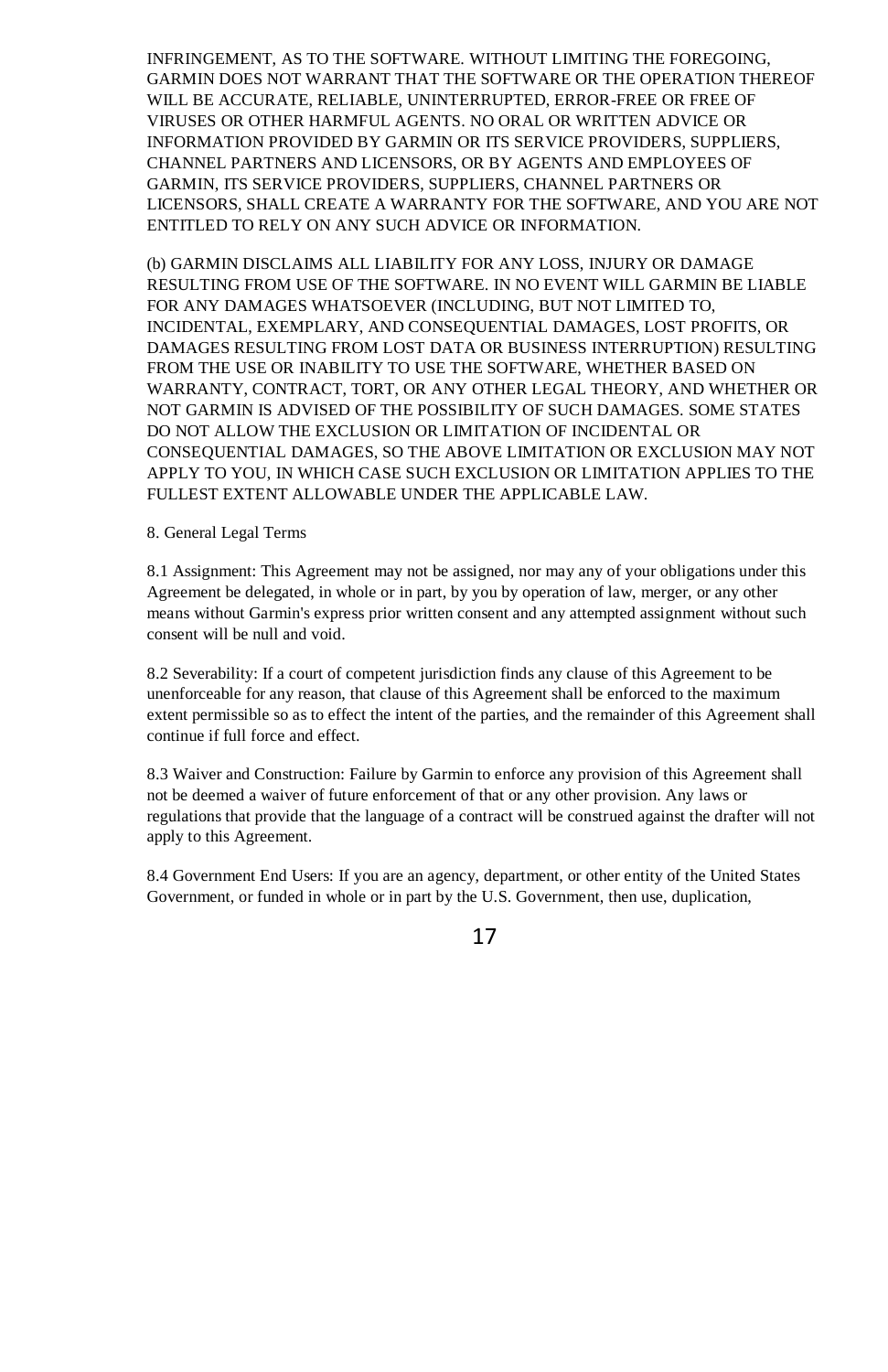INFRINGEMENT, AS TO THE SOFTWARE. WITHOUT LIMITING THE FOREGOING, GARMIN DOES NOT WARRANT THAT THE SOFTWARE OR THE OPERATION THEREOF WILL BE ACCURATE, RELIABLE, UNINTERRUPTED, ERROR-FREE OR FREE OF VIRUSES OR OTHER HARMFUL AGENTS. NO ORAL OR WRITTEN ADVICE OR INFORMATION PROVIDED BY GARMIN OR ITS SERVICE PROVIDERS, SUPPLIERS, CHANNEL PARTNERS AND LICENSORS, OR BY AGENTS AND EMPLOYEES OF GARMIN, ITS SERVICE PROVIDERS, SUPPLIERS, CHANNEL PARTNERS OR LICENSORS, SHALL CREATE A WARRANTY FOR THE SOFTWARE, AND YOU ARE NOT ENTITLED TO RELY ON ANY SUCH ADVICE OR INFORMATION.

(b) GARMIN DISCLAIMS ALL LIABILITY FOR ANY LOSS, INJURY OR DAMAGE RESULTING FROM USE OF THE SOFTWARE. IN NO EVENT WILL GARMIN BE LIABLE FOR ANY DAMAGES WHATSOEVER (INCLUDING, BUT NOT LIMITED TO, INCIDENTAL, EXEMPLARY, AND CONSEQUENTIAL DAMAGES, LOST PROFITS, OR DAMAGES RESULTING FROM LOST DATA OR BUSINESS INTERRUPTION) RESULTING FROM THE USE OR INABILITY TO USE THE SOFTWARE, WHETHER BASED ON WARRANTY, CONTRACT, TORT, OR ANY OTHER LEGAL THEORY, AND WHETHER OR NOT GARMIN IS ADVISED OF THE POSSIBILITY OF SUCH DAMAGES. SOME STATES DO NOT ALLOW THE EXCLUSION OR LIMITATION OF INCIDENTAL OR CONSEQUENTIAL DAMAGES, SO THE ABOVE LIMITATION OR EXCLUSION MAY NOT APPLY TO YOU, IN WHICH CASE SUCH EXCLUSION OR LIMITATION APPLIES TO THE FULLEST EXTENT ALLOWABLE UNDER THE APPLICABLE LAW.

#### 8. General Legal Terms

8.1 Assignment: This Agreement may not be assigned, nor may any of your obligations under this Agreement be delegated, in whole or in part, by you by operation of law, merger, or any other means without Garmin's express prior written consent and any attempted assignment without such consent will be null and void.

8.2 Severability: If a court of competent jurisdiction finds any clause of this Agreement to be unenforceable for any reason, that clause of this Agreement shall be enforced to the maximum extent permissible so as to effect the intent of the parties, and the remainder of this Agreement shall continue if full force and effect.

8.3 Waiver and Construction: Failure by Garmin to enforce any provision of this Agreement shall not be deemed a waiver of future enforcement of that or any other provision. Any laws or regulations that provide that the language of a contract will be construed against the drafter will not apply to this Agreement.

8.4 Government End Users: If you are an agency, department, or other entity of the United States Government, or funded in whole or in part by the U.S. Government, then use, duplication,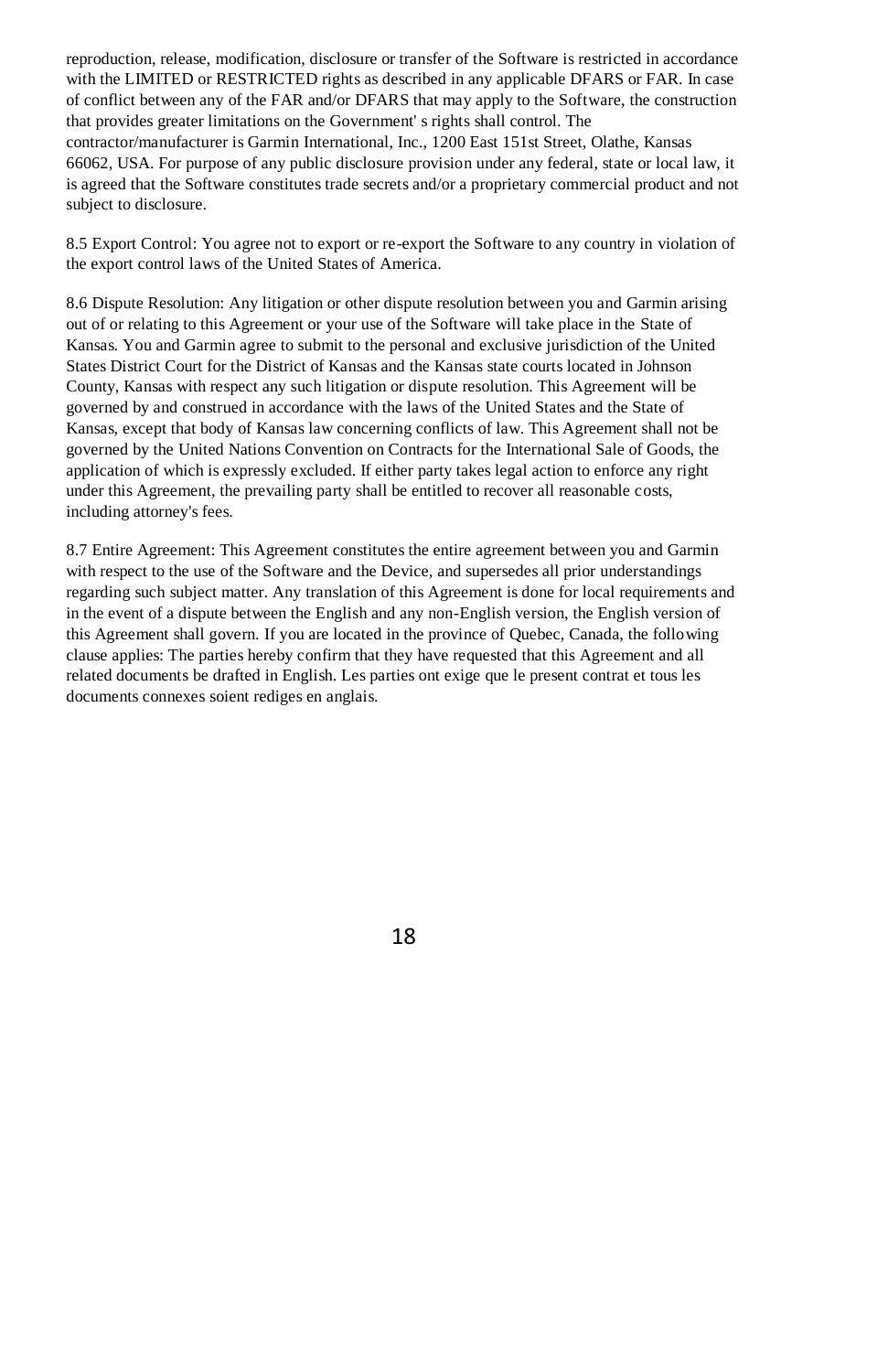reproduction, release, modification, disclosure or transfer of the Software is restricted in accordance with the LIMITED or RESTRICTED rights as described in any applicable DFARS or FAR. In case of conflict between any of the FAR and/or DFARS that may apply to the Software, the construction that provides greater limitations on the Government' s rights shall control. The contractor/manufacturer is Garmin International, Inc., 1200 East 151st Street, Olathe, Kansas 66062, USA. For purpose of any public disclosure provision under any federal, state or local law, it is agreed that the Software constitutes trade secrets and/or a proprietary commercial product and not subject to disclosure.

8.5 Export Control: You agree not to export or re-export the Software to any country in violation of the export control laws of the United States of America.

8.6 Dispute Resolution: Any litigation or other dispute resolution between you and Garmin arising out of or relating to this Agreement or your use of the Software will take place in the State of Kansas. You and Garmin agree to submit to the personal and exclusive jurisdiction of the United States District Court for the District of Kansas and the Kansas state courts located in Johnson County, Kansas with respect any such litigation or dispute resolution. This Agreement will be governed by and construed in accordance with the laws of the United States and the State of Kansas, except that body of Kansas law concerning conflicts of law. This Agreement shall not be governed by the United Nations Convention on Contracts for the International Sale of Goods, the application of which is expressly excluded. If either party takes legal action to enforce any right under this Agreement, the prevailing party shall be entitled to recover all reasonable costs, including attorney's fees.

8.7 Entire Agreement: This Agreement constitutes the entire agreement between you and Garmin with respect to the use of the Software and the Device, and supersedes all prior understandings regarding such subject matter. Any translation of this Agreement is done for local requirements and in the event of a dispute between the English and any non-English version, the English version of this Agreement shall govern. If you are located in the province of Quebec, Canada, the following clause applies: The parties hereby confirm that they have requested that this Agreement and all related documents be drafted in English. Les parties ont exige que le present contrat et tous les documents connexes soient rediges en anglais.